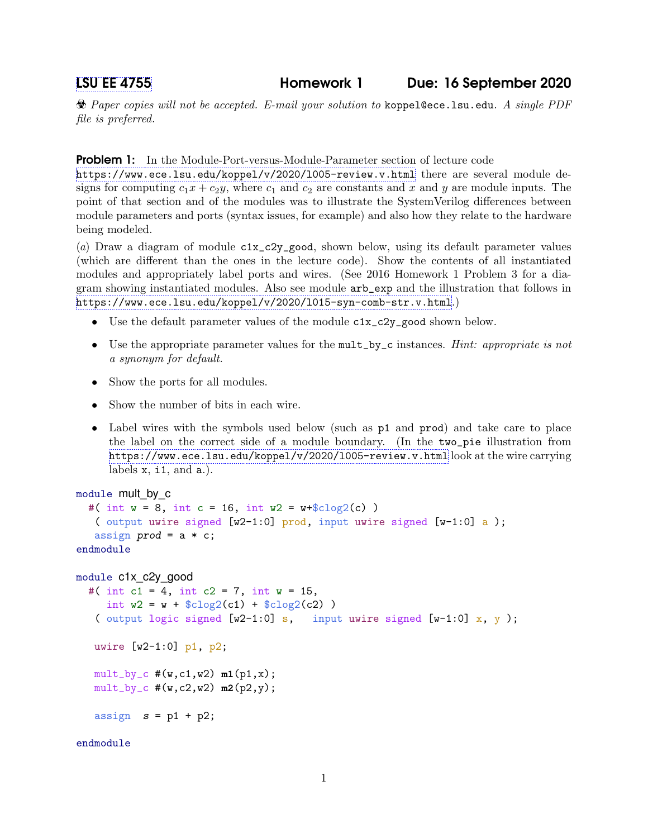[LSU EE 4755](https://www.ece.lsu.edu/koppel/v/) Homework 1 Due: 16 September 2020

 $\&$  Paper copies will not be accepted. E-mail your solution to koppel@ece.lsu.edu. A single PDF file is preferred.

## **Problem 1:** In the Module-Port-versus-Module-Parameter section of lecture code

<https://www.ece.lsu.edu/koppel/v/2020/l005-review.v.html> there are several module designs for computing  $c_1x + c_2y$ , where  $c_1$  and  $c_2$  are constants and x and y are module inputs. The point of that section and of the modules was to illustrate the SystemVerilog differences between module parameters and ports (syntax issues, for example) and also how they relate to the hardware being modeled.

(a) Draw a diagram of module c1x\_c2y\_good, shown below, using its default parameter values (which are different than the ones in the lecture code). Show the contents of all instantiated modules and appropriately label ports and wires. (See 2016 Homework 1 Problem 3 for a diagram showing instantiated modules. Also see module arb\_exp and the illustration that follows in <https://www.ece.lsu.edu/koppel/v/2020/l015-syn-comb-str.v.html>.)

- Use the default parameter values of the module  $c1x_c2y_g$  good shown below.
- Use the appropriate parameter values for the mult\_by\_c instances. *Hint: appropriate is not* a synonym for default.
- Show the ports for all modules.
- Show the number of bits in each wire.
- Label wires with the symbols used below (such as p1 and prod) and take care to place the label on the correct side of a module boundary. (In the two\_pie illustration from <https://www.ece.lsu.edu/koppel/v/2020/l005-review.v.html> look at the wire carrying labels  $x$ , i1, and  $a$ .).

```
module mult_by_c
  #( int w = 8, int c = 16, int w2 = w + \$c \log(2(c)))
   ( output uwire signed [w2-1:0] prod, input uwire signed [w-1:0] a );
   assign prod = a * c;
endmodule
module c1x_c2y_good
  #( int c1 = 4, int c2 = 7, int w = 15,
     int w2 = w + $c \log(2c1) + $c \log(2c2)( output logic signed [w2-1:0] s, input uwire signed [w-1:0] x, y);
  uwire [w2-1:0] p1, p2;
  mult_by_c #(w,c1,w2) m1(p1,x);
  mult_by_c #(w,c2,w2) m2(p2,y);
  assign s = p1 + p2;
endmodule
```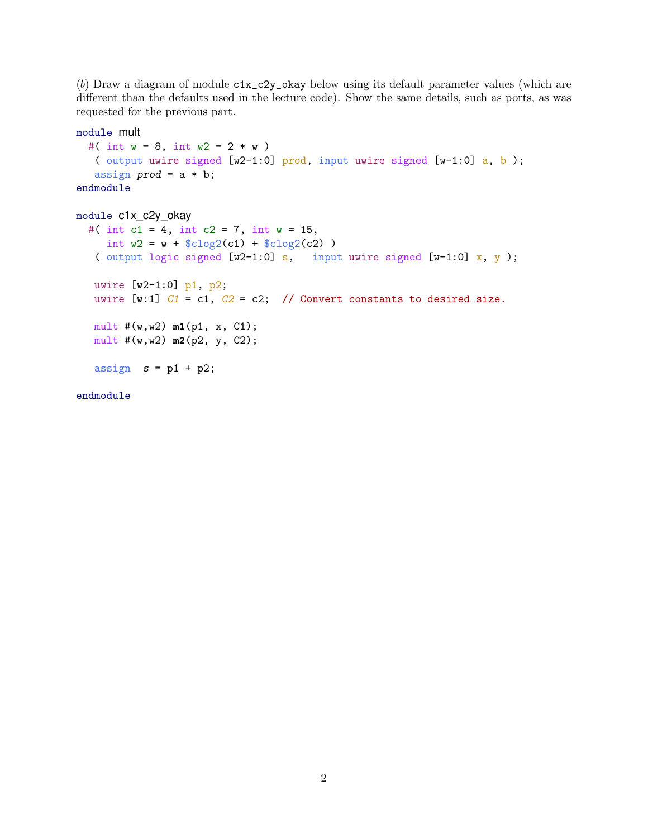(b) Draw a diagram of module c1x\_c2y\_okay below using its default parameter values (which are different than the defaults used in the lecture code). Show the same details, such as ports, as was requested for the previous part.

```
module mult
  #( int w = 8, int w2 = 2 * w)
   ( output uwire signed [w2-1:0] prod, input uwire signed [w-1:0] a, b );
   assign prod = a * b;
endmodule
module c1x_c2y_okay
  #( int c1 = 4, int c2 = 7, int w = 15,
     int w2 = w + $c \log(2c1) + $c \log(2c2)( output logic signed [w2-1:0] s, input uwire signed [w-1:0] x, y);
   uwire [w2-1:0] p1, p2;
   uwire [w:1] C1 = c1, C2 = c2; // Convert constants to desired size.
   mult #(w,w2) m1(p1, x, C1);
   mult #(w,w2) m2(p2, y, C2);
   assign s = p1 + p2;
```
endmodule